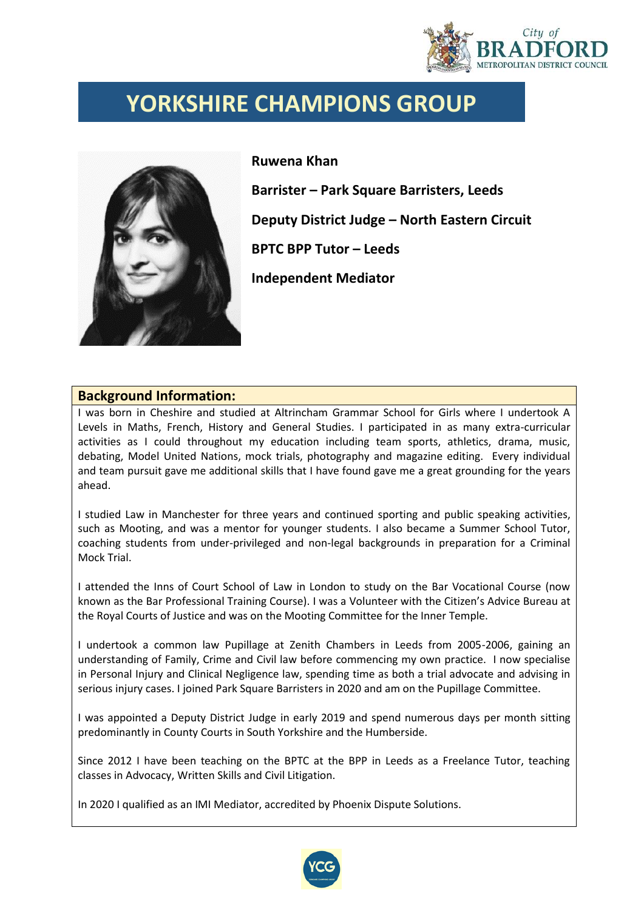

## **YORKSHIRE CHAMPIONS GROUP**



**Ruwena Khan Barrister – Park Square Barristers, Leeds Deputy District Judge – North Eastern Circuit BPTC BPP Tutor – Leeds**

**Independent Mediator** 

## **Background Information:**

I was born in Cheshire and studied at Altrincham Grammar School for Girls where I undertook A Levels in Maths, French, History and General Studies. I participated in as many extra-curricular activities as I could throughout my education including team sports, athletics, drama, music, debating, Model United Nations, mock trials, photography and magazine editing. Every individual and team pursuit gave me additional skills that I have found gave me a great grounding for the years ahead.

I studied Law in Manchester for three years and continued sporting and public speaking activities, such as Mooting, and was a mentor for younger students. I also became a Summer School Tutor, coaching students from under-privileged and non-legal backgrounds in preparation for a Criminal Mock Trial.

I attended the Inns of Court School of Law in London to study on the Bar Vocational Course (now known as the Bar Professional Training Course). I was a Volunteer with the Citizen's Advice Bureau at the Royal Courts of Justice and was on the Mooting Committee for the Inner Temple.

I undertook a common law Pupillage at Zenith Chambers in Leeds from 2005-2006, gaining an understanding of Family, Crime and Civil law before commencing my own practice. I now specialise in Personal Injury and Clinical Negligence law, spending time as both a trial advocate and advising in serious injury cases. I joined Park Square Barristers in 2020 and am on the Pupillage Committee.

I was appointed a Deputy District Judge in early 2019 and spend numerous days per month sitting predominantly in County Courts in South Yorkshire and the Humberside.

Since 2012 I have been teaching on the BPTC at the BPP in Leeds as a Freelance Tutor, teaching classes in Advocacy, Written Skills and Civil Litigation.

In 2020 I qualified as an IMI Mediator, accredited by Phoenix Dispute Solutions.